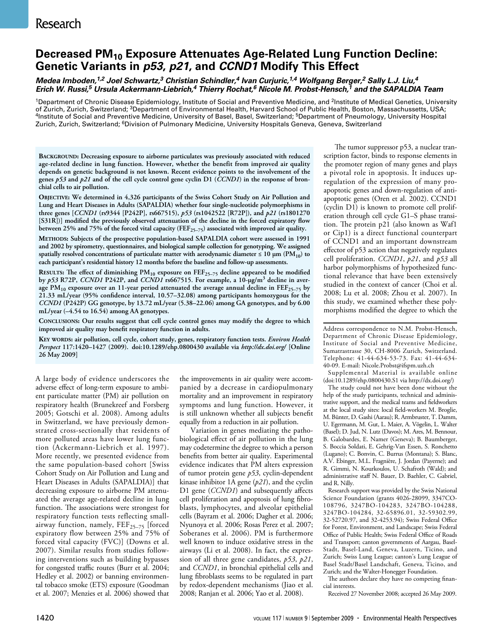## **Decreased PM<sub>10</sub> Exposure Attenuates Age-Related Lung Function Decline: Genetic Variants in** *p53***,** *p21***, and** *CCND1* **Modify This Effect**

*Medea Imboden,1,2 Joel Schwartz,3 Christian Schindler,4 Ivan Curjuric,1,4 Wolfgang Berger,2 Sally L.J. Liu,4 Erich W. Russi,5 Ursula Ackermann-Liebrich,4 Thierry Rochat,6 Nicole M. Probst-Hensch,1 and the SAPALDIA Team*

<sup>1</sup>Department of Chronic Disease Epidemiology, Institute of Social and Preventive Medicine, and <sup>2</sup>Institute of Medical Genetics, University of Zurich, Zurich, Switzerland; <sup>3</sup>Department of Environmental Health, Harvard School of Public Health, Boston, Massachussetts, USA;<br><sup>4</sup>Institute of Social and Preventive Medicine, University of Basel, Basel, Switzerland; Zurich, Zurich, Switzerland; <sup>6</sup>Division of Pulmonary Medicine, University Hospitals Geneva, Geneva, Switzerland

**Background: Decreasing exposure to airborne particulates was previously associated with reduced age-related decline in lung function. However, whether the benefit from improved air quality depends on genetic background is not known. Recent evidence points to the involvement of the genes** *p53* **and** *p21* **and of the cell cycle control gene cyclin D1 (***CCND1***) in the response of bronchial cells to air pollution.**

**Objective: We determined in 4,326 participants of the Swiss Cohort Study on Air Pollution and Lung and Heart Diseases in Adults (SAPALDIA) whether four single-nucleotide polymorphisms in three genes [***CCND1* **(rs9344 [P242P], rs667515),** *p53* **(rs1042522 [R72P]), and** *p21* **(rs1801270 [S31R])] modified the previously observed attenuation of the decline in the forced expiratory flow**  between 25% and 75% of the forced vital capacity (FEF<sub>25-75</sub>) associated with improved air quality.

**Methods: Subjects of the prospective population-based SAPALDIA cohort were assessed in 1991 and 2002 by spirometry, questionnaires, and biological sample collection for genotyping. We assigned spatially resolved concentrations of particulate matter with aerodynamic diameter ≤ 10 µm (PM10) to each participant's residential history 12 months before the baseline and follow-up assessments.**

**RESULTS:** The effect of diminishing  $PM_{10}$  exposure on  $FE_{25-75}$  decline appeared to be modified **by** *p53* **R72P,** *CCND1* **P242P, and** *CCND1* **rs667515. For example, a 10-µg/m3 decline in aver**age PM<sub>10</sub> exposure over an 11-year period attenuated the average annual decline in  $FEF_{25-75}$  by **21.33 mL/year (95% confidence interval, 10.57–32.08) among participants homozygous for the**  *CCND1* **(P242P) GG genotype, by 13.72 mL/year (5.38–22.06) among GA genotypes, and by 6.00 mL/year (–4.54 to 16.54) among AA genotypes.**

**Conclusions: Our results suggest that cell cycle control genes may modify the degree to which improved air quality may benefit respiratory function in adults.**

**Key words: air pollution, cell cycle, cohort study, genes, respiratory function tests.** *Environ Health Perspect* **117:1420–1427 (2009). doi:10.1289/ehp.0800430 available via** *http://dx.doi.org/* **[Online 26 May 2009]**

A large body of evidence underscores the adverse effect of long-term exposure to ambient particulate matter (PM) air pollution on respiratory health (Brunekreef and Forsberg 2005; Gotschi et al. 2008). Among adults in Switzerland, we have previously demonstrated cross-sectionally that residents of more polluted areas have lower lung function (Ackermann-Liebrich et al. 1997). More recently, we presented evidence from the same population-based cohort [Swiss Cohort Study on Air Pollution and Lung and Heart Diseases in Adults (SAPALDIA)] that decreasing exposure to airborne PM attenuated the average age-related decline in lung function. The associations were strongest for respiratory function tests reflecting smallairway function, namely,  $\text{FEF}_{25-75}$  [forced expiratory flow between 25% and 75% of forced vital capacity (FVC)] (Downs et al. 2007). Similar results from studies following interventions such as building bypasses for congested traffic routes (Burr et al. 2004; Hedley et al. 2002) or banning environmental tobacco smoke (ETS) exposure (Goodman et al. 2007; Menzies et al. 2006) showed that

the improvements in air quality were accompanied by a decrease in cardiopulmonary mortality and an improvement in respiratory symptoms and lung function. However, it is still unknown whether all subjects benefit equally from a reduction in air pollution.

Variation in genes mediating the pathobiological effect of air pollution in the lung may codetermine the degree to which a person benefits from better air quality. Experimental evidence indicates that PM alters expression of tumor protein gene *p53*, cyclin-dependent kinase inhibitor 1A gene (*p21*), and the cyclin D1 gene (*CCND1*) and subsequently affects cell proliferation and apoptosis of lung fibroblasts, lymphocytes, and alveolar epithelial cells (Bayram et al. 2006; Dagher et al. 2006; Nyunoya et al. 2006; Rosas Perez et al. 2007; Soberanes et al. 2006). PM is furthermore well known to induce oxidative stress in the airways (Li et al. 2008). In fact, the expression of all three gene candidates, *p53*, *p21*, and *CCND1*, in bronchial epithelial cells and lung fibroblasts seems to be regulated in part by redox-dependent mechanisms (Jiao et al. 2008; Ranjan et al. 2006; Yao et al. 2008).

The tumor suppressor p53, a nuclear transcription factor, binds to response elements in the promoter region of many genes and plays a pivotal role in apoptosis. It induces upregulation of the expression of many proapoptotic genes and down-regulation of antiapoptotic genes (Oren et al. 2002). CCND1 (cyclin D1) is known to promote cell proliferation through cell cycle G1–S phase transition. The protein p21 (also known as Waf1 or Cip1) is a direct functional counterpart of CCND1 and an important downstream effector of p53 action that negatively regulates cell proliferation. *CCND1*, *p21*, and *p53* all harbor polymorphisms of hypothesized functional relevance that have been extensively studied in the context of cancer (Choi et al. 2008; Lu et al. 2008; Zhou et al. 2007). In this study, we examined whether these polymorphisms modified the degree to which the

Address correspondence to N.M. Probst-Hensch, Department of Chronic Disease Epidemiology, Institute of Social and Preventive Medicine, Sumatrastrasse 30, CH-8006 Zurich, Switzerland. Telephone: 41-44-634-53-73. Fax: 41-44-634- 40-09. E-mail: Nicole.Probst@ifspm.uzh.ch

Supplemental Material is available online (doi:10.1289/ehp.0800430.S1 via http://dx.doi.org/)

The study could not have been done without the help of the study participants, technical and administrative support, and the medical teams and fieldworkers at the local study sites: local field-workers M. Broglie, M. Bünter, D. Gashi (Aarau); R. Armbruster, T. Damm, U. Egermann, M. Gut, L. Maier, A. Vögelin, L. Walter (Basel); D. Jud, N. Lutz (Davos); M. Ares, M. Bennour, B. Galobardes, E. Namer (Geneva); B. Baumberger, S. Boccia Soldati, E. Gehrig-Van Essen, S. Ronchetto (Lugano); C. Bonvin, C. Burrus (Montana); S. Blanc, A.V. Ebinger, M.L. Fragnière, J. Jordan (Payerne); and R. Gimmi, N. Kourkoulos, U. Schafroth (Wald); and administrative staff N. Bauer, D. Baehler, C. Gabriel, and R. Nilly.

Research support was provided by the Swiss National Science Foundation (grants 4026-28099, 3347CO-108796, 3247BO-104283, 3247BO-104288, 3247BO-104284, 32-65896.01, 32-59302.99, 32-52720.97, and 32-4253.94); Swiss Federal Office for Forest, Environment, and Landscape; Swiss Federal Office of Public Health; Swiss Federal Office of Roads and Transport; canton governments of Aargau, Basel-Stadt, Basel-Land, Geneva, Luzern, Ticino, and Zurich; Swiss Lung League; canton's Lung League of Basel Stadt/Basel Landschaft, Geneva, Ticino, and Zurich; and the Walter-Honegger Foundation.

The authors declare they have no competing financial interests.

Received 27 November 2008; accepted 26 May 2009.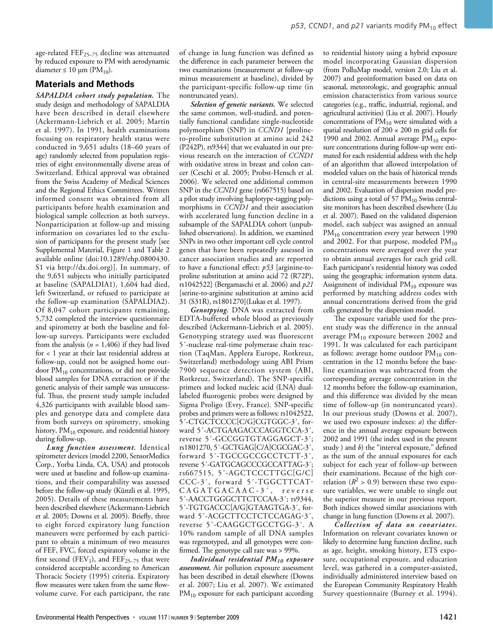age-related  $\text{FEF}_{25-75}$  decline was attenuated by reduced exposure to PM with aerodynamic diameter  $\leq 10 \mu m$  (PM<sub>10</sub>).

### **Materials and Methods**

*SAPALDIA cohort study population.* The study design and methodology of SAPALDIA have been described in detail elsewhere (Ackermann-Liebrich et al. 2005; Martin et al. 1997). In 1991, health examinations focusing on respiratory health status were conducted in 9,651 adults (18–60 years of age) randomly selected from population registries of eight environmentally diverse areas of Switzerland. Ethical approval was obtained from the Swiss Academy of Medical Sciences and the Regional Ethics Committees. Written informed consent was obtained from all participants before health examination and biological sample collection at both surveys. Nonparticipation at follow-up and missing information on covariates led to the exclusion of participants for the present study [see Supplemental Material, Figure 1 and Table 2 available online (doi:10.1289/ehp.0800430. S1 via http://dx.doi.org)]. In summary, of the 9,651 subjects who initially participated at baseline (SAPALDIA1), 1,604 had died, left Switzerland, or refused to participate at the follow-up examination (SAPALDIA2). Of 8,047 cohort participants remaining, 5,732 completed the interview questionnaire and spirometry at both the baseline and follow-up surveys. Participants were excluded from the analysis  $(n = 1,406)$  if they had lived for < 1 year at their last residential address at follow-up, could not be assigned home outdoor  $PM_{10}$  concentrations, or did not provide blood samples for DNA extraction or if the genetic analysis of their sample was unsuccessful. Thus, the present study sample included 4,326 participants with available blood samples and genotype data and complete data from both surveys on spirometry, smoking history,  $PM_{10}$  exposure, and residential history during follow-up.

*Lung function assessment.* Identical spirometer devices (model 2200, SensorMedics Corp., Yorba Linda, CA, USA) and protocols were used at baseline and follow-up examinations, and their comparability was assessed before the follow-up study (Künzli et al. 1995, 2005). Details of these measurements have been described elsewhere (Ackermann-Liebrich et al. 2005; Downs et al. 2005). Briefly, three to eight forced expiratory lung function maneuvers were performed by each participant to obtain a minimum of two measures of FEF, FVC, forced expiratory volume in the first second (FEV<sub>1</sub>), and FEF<sub>25-75</sub> that were considered acceptable according to American Thoracic Society (1995) criteria. Expiratory flow measures were taken from the same flowvolume curve. For each participant, the rate

of change in lung function was defined as the difference in each parameter between the two examinations (measurement at follow-up minus measurement at baseline), divided by the participant-specific follow-up time (in nontruncated years).

*Selection of genetic variants.* We selected the same common, well-studied, and potentially functional candidate single-nucleotide polymorphism (SNP) in *CCND1* [prolineto-proline substitution at amino acid 242 (P242P), rs9344] that we evaluated in our previous research on the interaction of *CCND1* with oxidative stress in breast and colon cancer (Ceschi et al. 2005; Probst-Hensch et al. 2006). We selected one additional common SNP in the *CCND1* gene (rs667515) based on a pilot study involving haplotype-tagging polymorphisms in *CCND1* and their association with accelerated lung function decline in a subsample of the SAPALDIA cohort (unpublished observations). In addition, we examined SNPs in two other important cell cycle control genes that have been repeatedly assessed in cancer association studies and are reported to have a functional effect: *p53* [arginine-toproline substitution at amino acid 72 (R72P), rs1042522] (Bergamaschi et al. 2006) and *p21* [serine-to-arginine substitution at amino acid 31 (S31R), rs1801270](Lukas et al. 1997).

*Genotpying.* DNA was extracted from EDTA-buffered whole blood as previously described (Ackermann-Liebrich et al. 2005). Genotyping strategy used was fluorescent 5´-nuclease real-time polymerase chain reaction (TaqMan, Applera Europe, Rotkreuz, Switzerland) methodology using ABI Prism 7900 sequence detection system (ABI, Rotkreuz, Switzerland). The SNP-specific primers and locked nucleic acid (LNA) duallabeled fluorogenic probes were designed by Sigma Proligo (Evry, France). SNP-specific probes and primers were as follows: rs1042522, 5'-CTGCTCCCC[C/G]CGTGGC-3', forward 5'-ACTGAAGACCCAGGTCCA-3', reverse 5'-GCCGGTGTAGGAGCT-3'; rs1801270, 5'-GCTGAG[C/A]CGCGAC-3', forward 5'-TGCCGCCGCCTCTT-3', reverse 5'-GATGCAGCCCGCCATTAG-3';  $rs667515, 5'$ -AGCTCCCTTGC[G/C] CCC-3', forward 5'-TGGCTTCAT-CAGATGACAAC - 3<sup>'</sup>, reverse 5'-AACCTGGGCTTCTCCAA-3'; rs9344, 5'-TGTGACCC[A/G]GTAAGTGA-3', forward 5'-ACGCTTCCTCTCCAGAG-3', reverse 5'-CAAGGCTGCCTGG-3'. A 10% random sample of all DNA samples was regenotyped, and all genotypes were confirmed. The genotype call rate was > 99%.

*Individual residential PM10 exposure assessment.* Air pollution exposure assessment has been described in detail elsewhere (Downs et al. 2007; Liu et al. 2007). We estimated PM<sub>10</sub> exposure for each participant according

to residential history using a hybrid exposure model incorporating Gaussian dispersion (from PolluMap model, version 2.0; Liu et al. 2007) and geoinformation based on data on seasonal, meteorologic, and geographic annual emission characteristics from various source categories (e.g., traffic, industrial, regional, and agricultural activities) (Liu et al. 2007). Hourly concentrations of  $PM_{10}$  were simulated with a spatial resolution of 200 × 200 m grid cells for 1990 and 2002. Annual average  $PM_{10}$  exposure concentrations during follow-up were estimated for each residential address with the help of an algorithm that allowed interpolation of modeled values on the basis of historical trends in central-site measurements between 1990 and 2002. Evaluation of dispersion model predictions using a total of 57  $\text{PM}_{10}$  Swiss centralsite monitors has been described elsewhere (Liu et al. 2007). Based on the validated dispersion model, each subject was assigned an annual PM<sub>10</sub> concentration every year between 1990 and 2002. For that purpose, modeled  $PM_{10}$ concentrations were averaged over the year to obtain annual averages for each grid cell. Each participant's residential history was coded using the geographic information system data. Assignment of individual  $PM_{10}$  exposure was performed by matching address codes with annual concentrations derived from the grid cells generated by the dispersion model.

The exposure variable used for the present study was the difference in the annual average PM<sub>10</sub> exposure between 2002 and 1991. It was calculated for each participant as follows: average home outdoor  $PM_{10}$  concentration in the 12 months before the baseline examination was subtracted from the corresponding average concentration in the 12 months before the follow-up examination, and this difference was divided by the mean time of follow-up (in nontruncated years). In our previous study (Downs et al. 2007), we used two exposure indexes: *a*) the difference in the annual average exposure between 2002 and 1991 (the index used in the present study ) and *b*) the "interval exposure," defined as the sum of the annual exposures for each subject for each year of follow-up between their examinations. Because of the high correlation  $(R^2 > 0.9)$  between these two exposure variables, we were unable to single out the superior measure in our previous report. Both indices showed similar associations with change in lung function (Downs et al. 2007).

*Collection of data on covariates.* Information on relevant covariates known or likely to determine lung function decline, such as age, height, smoking history, ETS exposure, occupational exposure, and education level, was gathered in a computer-assisted, individually administered interview based on the European Community Respiratory Health Survey questionnaire (Burney et al. 1994).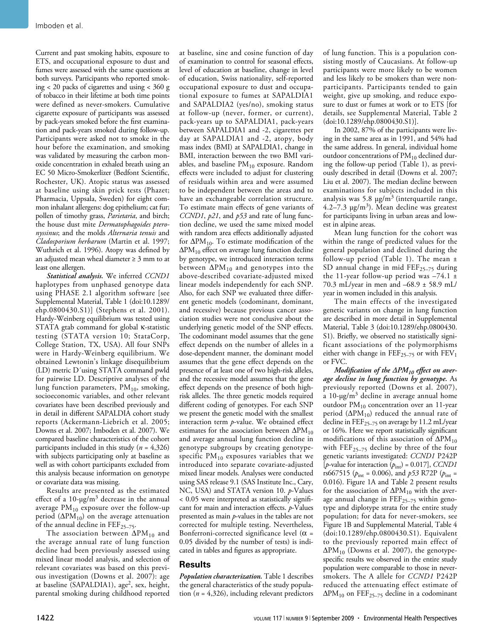Current and past smoking habits, exposure to ETS, and occupational exposure to dust and fumes were assessed with the same questions at both surveys. Participants who reported smoking < 20 packs of cigarettes and using < 360 g of tobacco in their lifetime at both time points were defined as never-smokers. Cumulative cigarette exposure of participants was assessed by pack-years smoked before the first examination and pack-years smoked during follow-up. Participants were asked not to smoke in the hour before the examination, and smoking was validated by measuring the carbon monoxide concentration in exhaled breath using an EC 50 Micro-Smokerlizer (Bedfont Scientific, Rochester, UK). Atopic status was assessed at baseline using skin prick tests (Phazet; Pharmacia, Uppsala, Sweden) for eight common inhalant allergens: dog epithelium; cat fur; pollen of timothy grass, *Parietaria*, and birch; the house dust mite *Dermatophagoides pteronyssinus*; and the molds *Alternaria tenuis* and *Cladosporium herbarum* (Martin et al. 1997; Wuthrich et al. 1996). Atopy was defined by an adjusted mean wheal diameter ≥ 3 mm to at least one allergen.

*Statistical analysis.* We inferred *CCND1* haplotypes from unphased genotype data using PHASE 2.1 algorithm software [see Supplemental Material, Table 1 (doi:10.1289/ ehp.0800430.S1)] (Stephens et al. 2001). Hardy-Weinberg equilibrium was tested using STATA gtab command for global κ-statistic testing (STATA version 10; StataCorp, College Station, TX, USA). All four SNPs were in Hardy-Weinberg equilibrium. We obtained Lewtonin's linkage disequilibrium (LD) metric D´using STATA command pwld for pairwise LD. Descriptive analyses of the lung function parameters,  $PM_{10}$ , smoking, socioeconomic variables, and other relevant covariates have been described previously and in detail in different SAPALDIA cohort study reports (Ackermann-Liebrich et al. 2005; Downs et al. 2007; Imboden et al. 2007). We compared baseline characteristics of the cohort participants included in this study  $(n = 4,326)$ with subjects participating only at baseline as well as with cohort participants excluded from this analysis because information on genotype or covariate data was missing.

Results are presented as the estimated effect of a  $10$ -µg/m<sup>3</sup> decrease in the annual average PM<sub>10</sub> exposure over the follow-up period  $(\Delta PM_{10})$  on the average attenuation of the annual decline in  $\text{FEF}_{25-75}$ .

The association between  $\Delta PM_{10}$  and the average annual rate of lung function decline had been previously assessed using mixed linear model analysis, and selection of relevant covariates was based on this previous investigation (Downs et al. 2007): age at baseline (SAPALDIA1), age<sup>2</sup>, sex, height, parental smoking during childhood reported at baseline, sine and cosine function of day of examination to control for seasonal effects, level of education at baseline, change in level of education, Swiss nationality, self-reported occupational exposure to dust and occupational exposure to fumes at SAPALDIA1 and SAPALDIA2 (yes/no), smoking status at follow-up (never, former, or current), pack-years up to SAPALDIA1, pack-years between SAPALDIA1 and -2, cigarettes per day at SAPALDIA1 and -2, atopy, body mass index (BMI) at SAPALDIA1, change in BMI, interaction between the two BMI variables, and baseline  $PM_{10}$  exposure. Random effects were included to adjust for clustering of residuals within area and were assumed to be independent between the areas and to have an exchangeable correlation structure. To estimate main effects of gene variants of *CCND1*, *p21*, and *p53* and rate of lung function decline, we used the same mixed model with random area effects additionally adjusted for  $\Delta PM_{10}$ . To estimate modification of the ΔPM10 effect on average lung function decline by genotype, we introduced interaction terms between  $\Delta PM_{10}$  and genotypes into the above-described covariate-adjusted mixed linear models independently for each SNP. Also, for each SNP we evaluated three different genetic models (codominant, dominant, and recessive) because previous cancer association studies were not conclusive about the underlying genetic model of the SNP effects. The codominant model assumes that the gene effect depends on the number of alleles in a dose-dependent manner, the dominant model assumes that the gene effect depends on the presence of at least one of two high-risk alleles, and the recessive model assumes that the gene effect depends on the presence of both highrisk alleles. The three genetic models required different coding of genotypes. For each SNP we present the genetic model with the smallest interaction term *p*-value. We obtained effect estimates for the association between  $\Delta PM_{10}$ and average annual lung function decline in genotype subgroups by creating genotypespecific  $PM_{10}$  exposures variables that we introduced into separate covariate-adjusted mixed linear models. Analyses were conducted using SAS release 9.1 (SAS Institute Inc., Cary, NC, USA) and STATA version 10. *p*-Values < 0.05 were interpreted as statistically significant for main and interaction effects. *p*-Values presented as main *p*-values in the tables are not corrected for multiple testing. Nevertheless, Bonferroni-corrected significance level ( $\alpha$  = 0.05 divided by the number of tests) is indicated in tables and figures as appropriate.

### **Results**

*Population characterization.* Table 1 describes the general characteristics of the study population (*n* = 4,326), including relevant predictors

of lung function. This is a population consisting mostly of Caucasians. At follow-up participants were more likely to be women and less likely to be smokers than were nonparticipants. Participants tended to gain weight, give up smoking, and reduce exposure to dust or fumes at work or to ETS [for details, see Supplemental Material, Table 2 (doi:10.1289/ehp.0800430.S1)].

In 2002, 87% of the participants were living in the same area as in 1991, and 54% had the same address. In general, individual home outdoor concentrations of  $\text{PM}_{10}$  declined during the follow-up period (Table 1), as previously described in detail (Downs et al. 2007; Liu et al. 2007). The median decline between examinations for subjects included in this analysis was 5.8  $\mu$ g/m<sup>3</sup> (interquartile range, 4.2–7.3  $\mu$ g/m<sup>3</sup>). Mean decline was greatest for participants living in urban areas and lowest in alpine areas.

Mean lung function for the cohort was within the range of predicted values for the general population and declined during the follow-up period (Table 1). The mean ± SD annual change in mid  $\text{FEF}_{25-75}$  during the 11-year follow-up period was –74.1 ± 70.3 mL/year in men and –68.9 ± 58.9 mL/ year in women included in this analysis.

The main effects of the investigated genetic variants on change in lung function are described in more detail in Supplemental Material, Table 3 (doi:10.1289/ehp.0800430. S1). Briefly, we observed no statistically significant associations of the polymorphisms either with change in  $\text{FEF}_{25-75}$  or with  $\text{FEV}_1$ or FVC.

*Modification of the ΔPM10 effect on average decline in lung function by genotype.* As previously reported (Downs et al. 2007), a 10- $\mu$ g/m<sup>3</sup> decline in average annual home outdoor  $PM_{10}$  concentration over an 11-year period ( $\Delta PM_{10}$ ) reduced the annual rate of decline in FEF<sub>25-75</sub> on average by 11.2 mL/year or 16%. Here we report statistically significant modifications of this association of  $\Delta \text{PM}_{10}$ with  $\text{FEF}_{25-75}$  decline by three of the four genetic variants investigated: *CCND1* P242P [*p*-value for interaction (*p*int) = 0.017], *CCND1* rs667515 (*p*int = 0.006), and *p53* R72P (*p*int = 0.016). Figure 1A and Table 2 present results for the association of  $\Delta PM_{10}$  with the average annual change in FEF<sub>25-75</sub> within genotype and diplotype strata for the entire study population; for data for never-smokers, see Figure 1B and Supplemental Material, Table 4 (doi:10.1289/ehp.0800430.S1). Equivalent to the previously reported main effect of  $\Delta PM_{10}$  (Downs et al. 2007), the genotypespecific results we observed in the entire study population were comparable to those in neversmokers. The A allele for *CCND1* P242P reduced the attenuating effect estimate of  $\Delta PM_{10}$  on FEF<sub>25-75</sub> decline in a codominant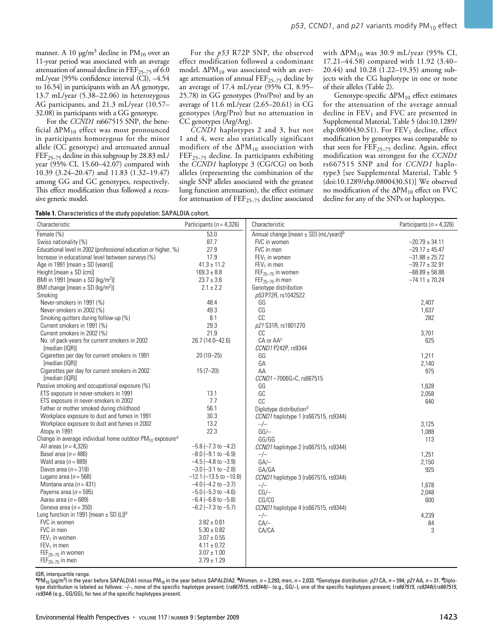manner. A 10  $\mu$ g/m<sup>3</sup> decline in PM<sub>10</sub> over an 11-year period was associated with an average attenuation of annual decline in  $\text{FEF}_{25-75}$  of 6.0 mL/year [95% confidence interval (CI), –4.54 to 16.54] in participants with an AA genotype, 13.7 mL/year (5.38–22.06) in heterozygous AG participants, and 21.3 mL/year (10.57– 32.08) in participants with a GG genotype.

For the *CCND1* rs667515 SNP, the beneficial  $\Delta PM_{10}$  effect was most pronounced in participants homozygous for the minor allele (CC genotype) and attenuated annual FEF<sub>25–75</sub> decline in this subgroup by 28.83 mL/ year (95% CI, 15.60–42.07) compared with 10.39 (3.24–20.47) and 11.83 (1.32–19.47) among GG and GC genotypes, respectively. This effect modification thus followed a recessive genetic model.

**Table 1.** Characteristics of the study population: SAPALDIA cohort.

For the *p53* R72P SNP, the observed effect modification followed a codominant model.  $\Delta PM_{10}$  was associated with an average attenuation of annual  $\text{FEF}_{25-75}$  decline by an average of 17.4 mL/year (95% CI, 8.95– 25.78) in GG genotypes (Pro/Pro) and by an average of 11.6 mL/year (2.65–20.61) in CG genotypes (Arg/Pro) but no attenuation in CC genotypes (Arg/Arg).

*CCND1* haplotypes 2 and 3, but not 1 and 4, were also statistically significant modifiers of the  $\Delta \text{PM}_{10}$  association with  $FEF<sub>25–75</sub>$  decline. In participants exhibiting the *CCND1* haplotype 3 (CG/CG) on both alleles (representing the combination of the single SNP alleles associated with the greatest lung function attenuation), the effect estimate for attenuation of  $\text{FEF}_{25-75}$  decline associated with  $\Delta PM_{10}$  was 30.9 mL/year (95% CI, 17.21–44.58) compared with 11.92 (3.40– 20.44) and 10.28 (1.22–19.35) among subjects with the CG haplotype in one or none of their alleles (Table 2).

Genotype-specific  $\Delta \text{PM}_{10}$  effect estimates for the attenuation of the average annual decline in  $FEV_1$  and  $FVC$  are presented in Supplemental Material, Table 5 (doi:10.1289/ ehp.0800430.S1). For  $FEV<sub>1</sub>$  decline, effect modification by genotypes was comparable to that seen for  $\text{FEF}_{25-75}$  decline. Again, effect modification was strongest for the *CCND1* rs667515 SNP and for *CCND1* haplotype3 [see Supplemental Material, Table 5 (doi:10.1289/ehp.0800430.S1)] We observed no modification of the  $ΔPM_{10}$  effect on FVC decline for any of the SNPs or haplotypes.

| Characteristic                                                            | Participants ( $n = 4,326$ )   | Characteristic                                        | Participants ( $n = 4,326$ ) |
|---------------------------------------------------------------------------|--------------------------------|-------------------------------------------------------|------------------------------|
| Female (%)                                                                | 53.0                           | Annual change [mean $\pm$ SD) (mL/year)] <sup>b</sup> |                              |
| Swiss nationality (%)                                                     | 87.7                           | FVC in women                                          | $-20.79 \pm 34.11$           |
| Educational level in 2002 (professional education or higher, %)           | 27.9                           | FVC in men                                            | $-29.17 \pm 45.47$           |
| Increase in educational level between surveys (%)                         | 17.9                           | $FEV1$ in women                                       | $-31.88 \pm 25.72$           |
| Age in 1991 [mean $\pm$ SD (years)]                                       | $41.3 \pm 11.2$                | $FEV1$ in men                                         | $-39.77 \pm 32.91$           |
| Height [mean $\pm$ SD (cm)]                                               | $169.3 \pm 8.8$                | $FEF25–75$ in women                                   | $-68.89 \pm 58.88$           |
| BMI in 1991 [mean $\pm$ SD (kg/m <sup>2</sup> )]                          | $23.7 \pm 3.6$                 | $FEF_{25-75}$ in men                                  | $-74.11 \pm 70.24$           |
| BMI change [mean $\pm$ SD (kg/m <sup>2</sup> )]                           | $2.1 \pm 2.2$                  | Genotype distribution                                 |                              |
| Smoking                                                                   |                                | p53 P72R, rs1042522                                   |                              |
| Never-smokers in 1991 (%)                                                 | 48.4                           | GG                                                    | 2,407                        |
| Never-smokers in 2002 (%)                                                 | 49.3                           | CG                                                    | 1,637                        |
| Smoking quitters during follow-up (%)                                     | 8.1                            | CC                                                    | 282                          |
| Current smokers in 1991 (%)                                               | 29.3                           | p21 S31R, rs1801270                                   |                              |
| Current smokers in 2002 (%)                                               | 21.9                           | CC                                                    | 3,701                        |
| No. of pack-years for current smokers in 2002                             | 26.7 (14.0-42.6)               | $CA$ or $AAc$                                         | 625                          |
| [median (IQR)]                                                            |                                | CCND1 P242P, rs9344                                   |                              |
| Cigarettes per day for current smokers in 1991                            | $20(10 - 25)$                  | GG                                                    | 1,211                        |
| [median (IQR)]                                                            |                                | GA                                                    | 2,140                        |
| Cigarettes per day for current smokers in 2002                            | $15(7 - 20)$                   | AA                                                    | 975                          |
| [median (IQR)]                                                            |                                | CCND1-7006G>C, rs667515                               |                              |
| Passive smoking and occupational exposure (%)                             |                                | GG                                                    | 1,628                        |
| ETS exposure in never-smokers in 1991                                     | 13.1                           | GC                                                    | 2,058                        |
| ETS exposure in never-smokers in 2002                                     | 7.7                            | CC                                                    | 640                          |
| Father or mother smoked during childhood                                  | 56.1                           | Diplotype distribution <sup>d</sup>                   |                              |
| Workplace exposure to dust and fumes in 1991                              | 30.3                           | CCND1 haplotype 1 (rs667515, rs9344)                  |                              |
| Workplace exposure to dust and fumes in 2002                              | 13.2                           | $-/-$                                                 | 3,125                        |
| Atopy in 1991                                                             | 22.3                           | $GG/-$                                                | 1,088                        |
| Change in average individual home outdoor $PM_{10}$ exposure <sup>a</sup> |                                | GG/GG                                                 | 113                          |
| All areas $(n = 4,326)$                                                   | $-5.8$ ( $-7.3$ to $-4.2$ )    | CCND1 haplotype 2 (rs667515, rs9344)                  |                              |
| Basel area ( $n = 486$ )                                                  | $-8.0$ ( $-9.1$ to $-6.9$ )    | $-/-$                                                 | 1,251                        |
| Wald area ( $n = 889$ )                                                   | $-4.5$ ( $-4.8$ to $-3.9$ )    | $GA$ -                                                | 2,150                        |
| Davos area ( $n = 318$ )                                                  | $-3.0$ ( $-3.1$ to $-2.8$ )    | GA/GA                                                 | 925                          |
| Lugano area ( $n = 568$ )                                                 | $-12.1$ ( $-13.5$ to $-10.8$ ) | CCND1 haplotype 3 (rs667515, rs9344)                  |                              |
| Montana area ( $n = 431$ )                                                | $-4.0$ ( $-4.2$ to $-3.7$ )    | $-/-$                                                 | 1,678                        |
| Payerne area ( $n = 595$ )                                                | $-5.0$ ( $-5.3$ to $-4.6$ )    | CG/–                                                  | 2,048                        |
| Aarau area ( $n = 689$ )                                                  | $-6.4$ ( $-6.8$ to $-5.8$ )    | CG/CG                                                 | 600                          |
| Geneva area ( $n = 350$ )                                                 | $-6.2$ ( $-7.3$ to $-5.7$ )    | CCND1 haplotype 4 (rs667515, rs9344)                  |                              |
| Lung function in 1991 [mean $\pm$ SD (L)] <sup>b</sup>                    |                                | $-/-$                                                 | 4,239                        |
| FVC in women                                                              | $3.82 \pm 0.61$                | $CA$ –                                                | 84                           |
| FVC in men                                                                | $5.30 \pm 0.82$                | CA/CA                                                 | 3                            |
| $FEV1$ in women                                                           | $3.07 \pm 0.55$                |                                                       |                              |
| $FEV1$ in men                                                             | $4.11 \pm 0.72$                |                                                       |                              |
| FEF <sub>25-75</sub> in women                                             | $3.07 \pm 1.00$                |                                                       |                              |
| $FEF_{25-75}$ in men                                                      | $3.79 \pm 1.29$                |                                                       |                              |
|                                                                           |                                |                                                       |                              |

IQR, interquartile range.

ªPM<sub>10</sub> (µg/m<sup>3</sup>) in the year before SAPALDIA1 minus PM<sub>10</sub> in the year before SAPALDIA2. <sup>6</sup>Women, *n* = 2,293; men, *n* = 2,033. "Genotype distribution: *p21* CA, *n* = 594; *p21* AA, *n* = 31. <sup>*d*</sup>Diplotype distribution is labeled as follows: -/-, none of the specific haplotype present; (rs667515, rs9344) - (e.g., GG/-), one of the specific haplotypes present; (rs667515, rs9344)/(rs667515, *rs9344*) (e.g., GG/GG), for two of the specific haplotypes present.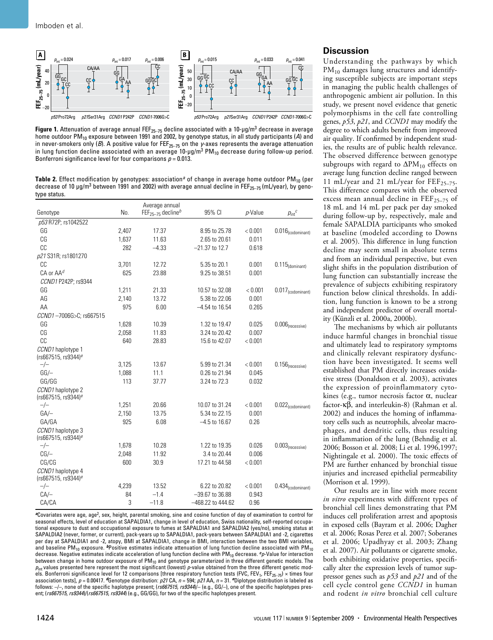

**Figure 1.** Attenuation of average annual FEF $_{25-75}$  decline associated with a 10- $\mu$ g/m $^3$  decrease in average home outdoor PM10 exposure between 1991 and 2002, by genotype status, in all study participants (*A*) and in never-smokers only (*B*). A positive value for FEF25–75 on the *y*-axes represents the average attenuation in lung function decline associated with an average 10- $\mu$ g/m $^3$  PM $_{10}$  decrease during follow-up period. Bonferroni significance level for four comparisons  $p = 0.013$ .

**Table 2.** Effect modification by genotypes: association<sup>*a*</sup> of change in average home outdoor PM<sub>10</sub> (per decrease of 10 µg/m<sup>3</sup> between 1991 and 2002) with average annual decline in FEF<sub>25–75</sub> (mL/year), by genotype status.

| Average annual                                       |       |                        |                       |            |                                               |  |
|------------------------------------------------------|-------|------------------------|-----------------------|------------|-----------------------------------------------|--|
| Genotype                                             | No.   | $FEF_{25-75}$ declineb | 95% CI                | $p$ -Value | $p_{\mathsf{int}}^{\phantom{\mathsf{int}} c}$ |  |
| p53R72P; rs1042522                                   |       |                        |                       |            |                                               |  |
| GG                                                   | 2,407 | 17.37                  | 8.95 to 25.78         | < 0.001    | $0.016_{\text{(codominant)}}$                 |  |
| CG                                                   | 1,637 | 11.63                  | 2.65 to 20.61         | 0.011      |                                               |  |
| CC                                                   | 282   | $-4.33$                | $-21.37$ to 12.7      | 0.618      |                                               |  |
| p21 S31R; rs1801270                                  |       |                        |                       |            |                                               |  |
| CC                                                   | 3,701 | 12.72                  | 5.35 to 20.1          | 0.001      | $0.115$ (dominant)                            |  |
| CA or AA <sup>d</sup>                                | 625   | 23.88                  | 9.25 to 38.51         | 0.001      |                                               |  |
| CCND1 P242P; rs9344                                  |       |                        |                       |            |                                               |  |
| GG                                                   | 1,211 | 21.33                  | 10.57 to 32.08        | < 0.001    | $0.017_{\text{(codominant)}}$                 |  |
| AG                                                   | 2,140 | 13.72                  | 5.38 to 22.06         | 0.001      |                                               |  |
| AA                                                   | 975   | 6.00                   | $-4.54$ to 16.54      | 0.265      |                                               |  |
| CCND1-7006G>C; rs667515                              |       |                        |                       |            |                                               |  |
| GG                                                   | 1,628 | 10.39                  | 1.32 to 19.47         | 0.025      | $0.006$ <sub>(recessive)</sub>                |  |
| CG                                                   | 2,058 | 11.83                  | 3.24 to 20.42         | 0.007      |                                               |  |
| CC                                                   | 640   | 28.83                  | 15.6 to 42.07         | < 0.001    |                                               |  |
| CCND1 haplotype 1                                    |       |                        |                       |            |                                               |  |
| (rs667515, rs9344) <sup>e</sup>                      |       |                        |                       |            |                                               |  |
| $-/-$                                                | 3,125 | 13.67                  | 5.99 to 21.34         | < 0.001    | $0.156$ <sub>(recessive)</sub>                |  |
| $GG/-$                                               | 1.088 | 11.1                   | 0.26 to 21.94         | 0.045      |                                               |  |
| GG/GG                                                | 113   | 37.77                  | 3.24 to 72.3          | 0.032      |                                               |  |
| CCND1 haplotype 2<br>(rs667515, rs9344) <sup>e</sup> |       |                        |                       |            |                                               |  |
| $-/-$                                                | 1,251 | 20.66                  | 10.07 to 31.24        | < 0.001    | $0.022$ <sub>(codominant)</sub>               |  |
| $GA/-$                                               | 2,150 | 13.75                  | 5.34 to 22.15         | 0.001      |                                               |  |
| GA/GA                                                | 925   | 6.08                   | $-4.5$ to 16.67       | 0.26       |                                               |  |
| CCND1 haplotype 3<br>(rs667515, rs9344) <sup>e</sup> |       |                        |                       |            |                                               |  |
| $-/-$                                                | 1,678 | 10.28                  | 1.22 to 19.35         | 0.026      | $0.003$ <sub>(recessive)</sub>                |  |
| $CG/-$                                               | 2,048 | 11.92                  | 3.4 to 20.44          | 0.006      |                                               |  |
| CG/CG                                                | 600   | 30.9                   | 17.21 to 44.58        | < 0.001    |                                               |  |
| CCND1 haplotype 4<br>(rs667515, rs9344) <sup>e</sup> |       |                        |                       |            |                                               |  |
| $-/-$                                                | 4,239 | 13.52                  | 6.22 to 20.82         | < 0.001    | $0.434$ (codominant)                          |  |
| $CA$ –                                               | 84    | $-1.4$                 | $-39.67$ to $36.88$   | 0.943      |                                               |  |
| CA/CA                                                | 3     | $-11.8$                | $-468.22$ to $444.62$ | 0.96       |                                               |  |

*<sup>a</sup>*Covariates were age, age<sup>2</sup> , sex, height, parental smoking, sine and cosine function of day of examination to control for seasonal effects, level of education at SAPALDIA1, change in level of education, Swiss nationality, self-reported occupational exposure to dust and occupational exposure to fumes at SAPALDIA1 and SAPALDIA2 (yes/no), smoking status at SAPALDIA2 (never, former, or current), pack-years up to SAPALDIA1, pack-years between SAPALDIA1 and -2, cigarettes per day at SAPALDIA1 and -2, atopy, BMI at SAPALDIA1, change in BMI, interaction between the two BMI variables, and baseline PM<sub>10</sub> exposure. *b***Positive estimates indicate attenuation of lung function decline associated with PM<sub>10</sub>** decrease. Negative estimates indicate acceleration of lung function decline with PM10 decrease. *<sup>c</sup>p*-Value for interaction between change in home outdoor exposure of  $PM_{10}$  and genotype parameterized in three different genetic models. The  $p_{int}$  values presented here represent the most significant (lowest) *p*-value obtained from the three different genetic models. Bonferroni significance level for 12 comparisons [three respiratory function tests (FVC, FEV<sub>1</sub>, FEF<sub>25–75</sub>) × times four association tests], *p* = 0.00417. *d*Genotype distribution: *p21* CA, *n* = 594; *p21* AA, *n* = 31. *e*Diplotype distribution is labeled as follows: –/–, none of the specific haplotype present; (*rs667515*, *rs9344*)/– (e.g., GG/–), one of the specific haplotypes present; (*rs667515*, *rs9344*)/(*rs667515*, *rs9344*) (e.g., GG/GG), for two of the specific haplotypes present.

### **Discussion**

Understanding the pathways by which  $PM_{10}$  damages lung structures and identifying susceptible subjects are important steps in managing the public health challenges of anthropogenic ambient air pollution. In this study, we present novel evidence that genetic polymorphisms in the cell fate controlling genes, *p53*, *p21*, and *CCND1* may modify the degree to which adults benefit from improved air quality. If confirmed by independent studies, the results are of public health relevance. The observed difference between genotype subgroups with regard to  $\Delta PM_{10}$  effects on average lung function decline ranged between 11 mL/year and 21 mL/year for  $\text{FEF}_{25-75}$ . This difference compares with the observed excess mean annual decline in  $\text{FEF}_{25-75}$  of 18 mL and 14 mL per pack per day smoked during follow-up by, respectively, male and female SAPALDIA participants who smoked at baseline (modeled according to Downs et al. 2005). This difference in lung function decline may seem small in absolute terms and from an individual perspective, but even slight shifts in the population distribution of lung function can substantially increase the prevalence of subjects exhibiting respiratory function below clinical thresholds. In addition, lung function is known to be a strong and independent predictor of overall mortality (Künzli et al. 2000a, 2000b).

The mechanisms by which air pollutants induce harmful changes in bronchial tissue and ultimately lead to respiratory symptoms and clinically relevant respiratory dysfunction have been investigated. It seems well established that PM directly increases oxidative stress (Donaldson et al. 2003), activates the expression of proinflammatory cytokines (e.g., tumor necrosis factor  $\alpha$ , nuclear factor-κβ, and interleukin-8) (Rahman et al. 2002) and induces the homing of inflammatory cells such as neutrophils, alveolar macrophages, and dendritic cells, thus resulting in inflammation of the lung (Behndig et al. 2006; Bosson et al. 2008; Li et al. 1996,1997; Nightingale et al. 2000). The toxic effects of PM are further enhanced by bronchial tissue injuries and increased epithelial permeability (Morrison et al. 1999).

Our results are in line with more recent *in vitro* experiments with different types of bronchial cell lines demonstrating that PM induces cell proliferation arrest and apoptosis in exposed cells (Bayram et al. 2006; Dagher et al. 2006; Rosas Perez et al. 2007; Soberanes et al. 2006; Upadhyay et al. 2003; Zhang et al. 2007). Air pollutants or cigarette smoke, both exhibiting oxidative properties, specifically alter the expression levels of tumor suppressor genes such as *p53* and *p21* and of the cell cycle control gene *CCND1* in human and rodent *in vitro* bronchial cell culture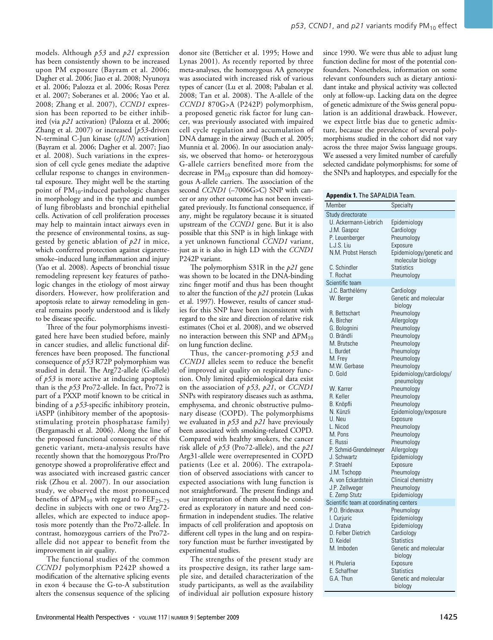models. Although *p53* and *p21* expression has been consistently shown to be increased upon PM exposure (Bayram et al. 2006; Dagher et al. 2006; Jiao et al. 2008; Nyunoya et al. 2006; Palozza et al. 2006; Rosas Perez et al. 2007; Soberanes et al. 2006; Yao et al. 2008; Zhang et al. 2007), *CCND1* expression has been reported to be either inhibited (via *p21* activation) (Palozza et al. 2006; Zhang et al. 2007) or increased [*p53*-driven N-terminal C-Jun kinase (*cJUN*) activation] (Bayram et al. 2006; Dagher et al. 2007; Jiao et al. 2008). Such variations in the expression of cell cycle genes mediate the adaptive cellular response to changes in environmental exposure. They might well be the starting point of  $PM_{10}$ -induced pathologic changes in morphology and in the type and number of lung fibroblasts and bronchial epithelial cells. Activation of cell proliferation processes may help to maintain intact airways even in the presence of environmental toxins, as suggested by genetic ablation of *p21* in mice, which conferred protection against cigarettesmoke–induced lung inflammation and injury (Yao et al. 2008). Aspects of bronchial tissue remodeling represent key features of pathologic changes in the etiology of most airway disorders. However, how proliferation and apoptosis relate to airway remodeling in general remains poorly understood and is likely to be disease specific.

Three of the four polymorphisms investigated here have been studied before, mainly in cancer studies, and allelic functional differences have been proposed. The functional consequence of *p53* R72P polymorphism was studied in detail. The Arg72-allele (G-allele) of *p53* is more active at inducing apoptosis than is the *p53* Pro72-allele. In fact, Pro72 is part of a PXXP motif known to be critical in binding of a *p53*-specific inhibitory protein, iASPP (inhibitory member of the apoptosisstimulating protein phosphatase family) (Bergamaschi et al. 2006). Along the line of the proposed functional consequence of this genetic variant, meta-analysis results have recently shown that the homozygous Pro/Pro genotype showed a proproliferative effect and was associated with increased gastric cancer risk (Zhou et al. 2007). In our association study, we observed the most pronounced benefits of  $\Delta PM_{10}$  with regard to  $FEF_{25-75}$ decline in subjects with one or two Arg72 alleles, which are expected to induce apoptosis more potently than the Pro72-allele. In contrast, homozygous carriers of the Pro72 allele did not appear to benefit from the improvement in air quality.

The functional studies of the common *CCND1* polymorphism P242P showed a modification of the alternative splicing events in exon 4 because the G-to-A substitution alters the consensus sequence of the splicing donor site (Betticher et al. 1995; Howe and Lynas 2001). As recently reported by three meta-analyses, the homozygous AA genotype was associated with increased risk of various types of cancer (Lu et al. 2008; Pabalan et al. 2008; Tan et al. 2008). The A-allele of the *CCND1* 870G>A (P242P) polymorphism, a proposed genetic risk factor for lung cancer, was previously associated with impaired cell cycle regulation and accumulation of DNA damage in the airway (Buch et al. 2005; Munnia et al. 2006). In our association analysis, we observed that homo- or heterozygous G-allele carriers benefited more from the decrease in  $PM_{10}$  exposure than did homozygous A-allele carriers. The association of the second *CCND1* (-7006G>C) SNP with cancer or any other outcome has not been investigated previously. Its functional consequence, if any, might be regulatory because it is situated upstream of the *CCND1* gene. But it is also possible that this SNP is in high linkage with a yet unknown functional *CCND1* variant, just as it is also in high LD with the *CCND1* P242P variant.

The polymorphism S31R in the *p21* gene was shown to be located in the DNA-binding zinc finger motif and thus has been thought to alter the function of the *p21* protein (Lukas et al. 1997). However, results of cancer studies for this SNP have been inconsistent with regard to the size and direction of relative risk estimates (Choi et al. 2008), and we observed no interaction between this SNP and  $ΔPM<sub>10</sub>$ on lung function decline.

Thus, the cancer-promoting *p53* and *CCND1* alleles seem to reduce the benefit of improved air quality on respiratory function. Only limited epidemiological data exist on the association of *p53*, *p21*, or *CCND1* SNPs with respiratory diseases such as asthma, emphysema, and chronic obstructive pulmonary disease (COPD). The polymorphisms we evaluated in *p53* and *p21* have previously been associated with smoking-related COPD. Compared with healthy smokers, the cancer risk allele of *p53* (Pro72-allele), and the *p21* Arg31-allele were overrepresented in COPD patients (Lee et al. 2006). The extrapolation of observed associations with cancer to expected associations with lung function is not straightforward. The present findings and our interpretation of them should be considered as exploratory in nature and need confirmation in independent studies. The relative impacts of cell proliferation and apoptosis on different cell types in the lung and on respiratory function must be further investigated by experimental studies.

The strengths of the present study are its prospective design, its rather large sample size, and detailed characterization of the study participants, as well as the availability of individual air pollution exposure history

since 1990. We were thus able to adjust lung function decline for most of the potential confounders. Nonetheless, information on some relevant confounders such as dietary antioxidant intake and physical activity was collected only at follow-up. Lacking data on the degree of genetic admixture of the Swiss general population is an additional drawback. However, we expect little bias due to genetic admixture, because the prevalence of several polymorphisms studied in the cohort did not vary across the three major Swiss language groups. We assessed a very limited number of carefully selected candidate polymorphisms; for some of the SNPs and haplotypes, and especially for the

# **Appendix 1.** The SAPALDIA Team.

| Member                                  | Specialty                |
|-----------------------------------------|--------------------------|
| Study directorate                       |                          |
| U. Ackermann-Liebrich                   | Epidemiology             |
| J.M. Gaspoz                             | Cardiology               |
| P. Leuenberger                          | Pneumology               |
| L.J.S. Liu                              | Exposure                 |
| N.M. Probst Hensch                      | Epidemiology/genetic and |
|                                         | molecular biology        |
| C. Schindler                            | Statistics               |
| T. Rochat                               | Pneumology               |
| Scientific team                         |                          |
| J.C. Barthélémy                         | Cardiology               |
| W. Berger                               | Genetic and molecular    |
|                                         | biology                  |
| R. Bettschart                           | Pneumology               |
| A. Bircher                              |                          |
| G. Bolognini                            | Allergology              |
| 0. Brändli                              | Pneumology               |
|                                         | Pneumology               |
| M. Brutsche                             | Pneumology               |
| L. Burdet                               | Pneumology               |
| M. Frey                                 | Pneumology               |
| M.W. Gerbase                            | Pneumology               |
| D. Gold                                 | Epidemiology/cardiology/ |
|                                         | pneumology               |
| W. Karrer                               | Pneumology               |
| R. Keller                               | Pneumology               |
| B. Knöpfli                              | Pneumology               |
| N. Künzli                               | Epidemiology/exposure    |
| U. Neu                                  | Exposure                 |
| L. Nicod                                | Pneumology               |
| M. Pons                                 | Pneumology               |
| E. Russi                                | Pneumology               |
| P. Schmid-Grendelmeyer                  | Allergology              |
| J. Schwartz                             | Epidemiology             |
| P. Straehl                              | Exposure                 |
| J.M. Tschopp                            | Pneumology               |
| A. von Eckardstein                      | Clinical chemistry       |
| J.P. Zellweger                          | Pneumology               |
| E. Zemp Stutz                           | Epidemiology             |
| Scientific team at coordinating centers |                          |
| P.O. Bridevaux                          | Pneumology               |
| I. Curjuric                             | Epidemiology             |
| J. Dratva                               | Epidemiology             |
| D. Felber Dietrich                      | Cardiology               |
| D. Keidel                               | Statistics               |
| M. Imboden                              | Genetic and molecular    |
|                                         | biology                  |
| H. Phuleria                             | Exposure                 |
| E. Schaffner                            | Statistics               |
| G.A. Thun                               | Genetic and molecular    |
|                                         | biology                  |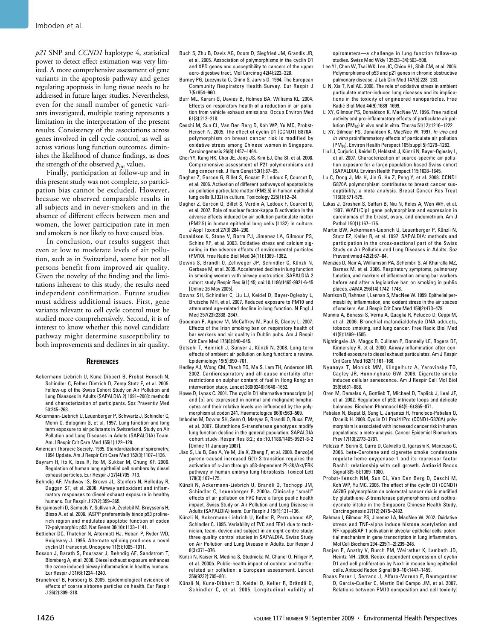*p21* SNP and *CCND1* haplotype 4, statistical power to detect effect estimation was very limited. A more comprehensive assessment of gene variants in the apoptosis pathway and genes regulating apoptosis in lung tissue needs to be addressed in future larger studies. Nevertheless, even for the small number of genetic variants investigated, multiple testing represents a limitation in the interpretation of the present results. Consistency of the associations across genes involved in cell cycle control, as well as across various lung function outcomes, diminishes the likelihood of chance findings, as does the strength of the observed  $p_{\rm int}$  values.

Finally, participation at follow-up and in this present study was not complete, so participation bias cannot be excluded. However, because we observed comparable results in all subjects and in never-smokers and in the absence of different effects between men and women, the lower participation rate in men and smokers is not likely to have caused bias.

In conclusion, our results suggest that even at low to moderate levels of air pollution, such as in Switzerland, some but not all persons benefit from improved air quality. Given the novelty of the finding and the limitations inherent to this study, the results need independent confirmation. Future studies must address additional issues. First, gene variants relevant to cell cycle control must be studied more comprehensively. Second, it is of interest to know whether this novel candidate pathway might determine susceptibility to both improvements and declines in air quality.

#### **References**

- Ackermann-Liebrich U, Kuna-Dibbert B, Probst-Hensch N, Schindler C, Felber Dietrich D, Zemp Stutz E, et al. 2005. Follow-up of the Swiss Cohort Study on Air Pollution and Lung Diseases in Adults (SAPALDIA 2) 1991–2003: methods and characterization of participants. Soz Praventiv Med 50:245–263.
- Ackermann-Liebrich U, Leuenberger P, Schwartz J, Schindler C, Monn C, Bolognini G, et al. 1997. Lung function and long term exposure to air pollutants in Switzerland. Study on Air Pollution and Lung Diseases in Adults (SAPALDIA) Team. Am J Respir Crit Care Med 155(1):122–129.
- American Thoracic Society. 1995. Standardization of spirometry. 1994 Update. Am J Respir Crit Care Med 152(3):1107–1136. Bayram H, Ito K, Issa R, Ito M, Sukkar M, Chung KF. 2006.
- Regulation of human lung epithelial cell numbers by diesel exhaust particles. Eur Respir J 27(4):705–713. Behndig AF, Mudway IS, Brown JL, Stenfors N, Helleday R,
- Duggan ST, et al. 2006. Airway antioxidant and inflammatory responses to diesel exhaust exposure in healthy humans. Eur Respir J 27(2):359–365.
- Bergamaschi D, Samuels Y, Sullivan A, Zvelebil M, Breyssens H, Bisso A, et al. 2006. iASPP preferentially binds p53 prolinerich region and modulates apoptotic function of codon 72-polymorphic p53. Nat Genet 38(10):1133–1141.
- Betticher DC, Thatcher N, Altermatt HJ, Hoban P, Ryder WD, Heighway J. 1995. Alternate splicing produces a novel cyclin D1 transcript. Oncogene 11(5):1005–1011.
- Bosson J, Barath S, Pourazar J, Behndig AF, Sandstrom T, Blomberg A, et al. 2008. Diesel exhaust exposure enhances the ozone induced airway inflammation in healthy humans. Eur Respir J 31(6):1234–1240.
- Brunekreef B, Forsberg B. 2005. Epidemiological evidence of effects of coarse airborne particles on health. Eur Respir J 26(2):309–318.
- Buch S, Zhu B, Davis AG, Odom D, Siegfried JM, Grandis JR, et al. 2005. Association of polymorphisms in the cyclin D1 and XPD genes and susceptibility to cancers of the upper aero-digestive tract. Mol Carcinog 42(4):222–228.
- Burney PG, Luczynska C, Chinn S, Jarvis D. 1994. The European Community Respiratory Health Survey. Eur Respir J 7(5):954–960.
- Burr ML, Karani G, Davies B, Holmes BA, Williams KL. 2004. Effects on respiratory health of a reduction in air pollution from vehicle exhaust emissions. Occup Environ Med 61(3):212–218.
- Ceschi M, Sun CL, Van Den Berg D, Koh WP, Yu MC, Probst-Hensch N. 2005. The effect of cyclin D1 (CCND1) G870Apolymorphism on breast cancer risk is modified by oxidative stress among Chinese women in Singapore. Carcinogenesis 26(8):1457–1464.
- Choi YY, Kang HK, Choi JE, Jang JS, Kim EJ, Cha SI, et al. 2008. Comprehensive assessment of P21 polymorphisms and lung cancer risk. J Hum Genet 53(1):87–95.
- Dagher Z, Garcon G, Billet S, Gosset P, Ledoux F, Courcot D, et al. 2006. Activation of different pathways of apoptosis by air pollution particulate matter (PM2.5) in human epithelial lung cells (L132) in culture. Toxicology 225(1):12–24.
- Dagher Z, Garcon G, Billet S, Verdin A, Ledoux F, Courcot D, et al. 2007. Role of nuclear factor-kappa B activation in the adverse effects induced by air pollution particulate matter (PM2.5) in human epithelial lung cells (L132) in culture. J Appl Toxicol 27(3):284–290.
- Donaldson K, Stone V, Borm PJ, Jimenez LA, Gilmour PS, Schins RP, et al. 2003. Oxidative stress and calcium signaling in the adverse effects of environmental particles (PM10). Free Radic Biol Med 34(11):1369–1382.
- Downs S, Brandli O, Zellweger JP, Schindler C, Künzli N, Gerbase M, et al. 2005. Accelerated decline in lung function in smoking women with airway obstruction: SAPALDIA 2 cohort study Respir Res 6(1):45; doi:10.1186/1465-9921-6-45 [Online 26 May 2005].
- Downs SH, Schindler C, Liu LJ, Keidel D, Bayer-Oglesby L, Brutsche MH, et al. 2007. Reduced exposure to PM10 and attenuated age-related decline in lung function. N Engl J Med 357(23):2338–2347.
- Goodman P, Agnew M, McCaffrey M, Paul G, Clancy L. 2007. Effects of the Irish smoking ban on respiratory health of bar workers and air quality in Dublin pubs. Am J Respir Crit Care Med 175(8):840–845.
- Gotschi T, Heinrich J, Sunyer J, Künzli N. 2008. Long-term effects of ambient air pollution on lung function: a review. Epidemiology 19(5):690–701.
- Hedley AJ, Wong CM, Thach TQ, Ma S, Lam TH, Anderson HR. 2002. Cardiorespiratory and all-cause mortality after restrictions on sulphur content of fuel in Hong Kong: an intervention study. Lancet 360(9346):1646–1652.
- Howe D, Lynas C. 2001. The cyclin D1 alternative transcripts [a] and [b] are expressed in normal and malignant lymphocytes and their relative levels are influenced by the polymorphism at codon 241. Haematologica 86(6):563–569.
- Imboden M, Downs SH, Senn O, Matyas G, Brandli O, Russi EW, et al. 2007. Glutathione S-transferase genotypes modify lung function decline in the general population: SAPALDIA cohort study. Respir Res 8:2.; doi:10.1186/1465-9921-8-2 [Online 11 January 2007].
- Jiao S, Liu B, Gao A, Ye M, Jia X, Zhang F, et al. 2008. Benzo(*a*) pyrene-caused increased G(1)-S transition requires the activation of c-Jun through p53-dependent PI-3K/Akt/ERK pathway in human embryo lung fibroblasts. Toxicol Lett 178(3):167–175.
- Künzli N, Ackermann-Liebrich U, Brandli O, Tschopp JM, Schindler C, Leuenberger P. 2000a. Clinically "small" effects of air pollution on FVC have a large public health impact. Swiss Study on Air Pollution and Lung Disease in Adults (SAPALDIA) team. Eur Respir J 15(1):131–136.
- Künzli N, Ackermann-Liebrich U, Keller R, Perruchoud AP, Schindler C. 1995. Variability of FVC and FEV1 due to technician, team, device and subject in an eight centre study: three quality control studies in SAPALDIA. Swiss Study on Air Pollution and Lung Disease in Adults. Eur Respir J 8(3):371–376.
- Künzli N, Kaiser R, Medina S, Studnicka M, Chanel O, Filliger P, et al. 2000b. Public-health impact of outdoor and trafficrelated air pollution: a European assessment. Lancet 356(9232):795–801.
- Künzli N, Kuna-Dibbert B, Keidel D, Keller R, Brändli O, Schindler C, et al. 2005. Longitudinal validity of

spirometers—a challenge in lung function follow-up studies. Swiss Med Wkly 135(33–34):503–508.

- Lee YL, Chen W, Tsai WK, Lee JC, Chiou HL, Shih CM, et al. 2006. Polymorphisms of p53 and p21 genes in chronic obstructive pulmonary disease. J Lab Clin Med 147(5):228–233.
- Li N, Xia T, Nel AE. 2008. The role of oxidative stress in ambient particulate matter-induced lung diseases and its implications in the toxicity of engineered nanoparticles. Free Radic Biol Med 44(9):1689–1699.
- Li XY, Gilmour PS, Donaldson K, MacNee W. 1996. Free radical activity and pro-inflammatory effects of particulate air pollution (PM $_{10}$ ) in vivo and in vitro. Thorax 51(12):1216-1222.
- Li XY, Gilmour PS, Donaldson K, MacNee W. 1997. *In vivo* and *in vitro* proinflammatory effects of particulate air pollution (PM<sub>10</sub>). Environ Health Perspect 105(suppl 5):1279-1283.
- Liu LJ, Curjuric I, Keidel D, Heldstab J, Künzli N, Bayer-Oglesby L, et al. 2007. Characterization of source-specific air pollution exposure for a large population-based Swiss cohort (SAPALDIA). Environ Health Perspect 115:1638–1645.
- Lu C, Dong J, Ma H, Jin G, Hu Z, Peng Y, et al. 2008. CCND1 G870A polymorphism contributes to breast cancer susceptibility: a meta-analysis. Breast Cancer Res Treat 116(3):571-575.
- Lukas J, Groshen S, Saffari B, Niu N, Reles A, Wen WH, et al. 1997. WAF1/Cip1 gene polymorphism and expression in carcinomas of the breast, ovary, and endometrium. Am J Pathol 150(1):167–175.
- Martin BW, Ackermann-Liebrich U, Leuenberger P, Künzli N, Stutz EZ, Keller R, et al. 1997. SAPALDIA: methods and participation in the cross-sectional part of the Swiss Study on Air Pollution and Lung Diseases in Adults. Soz Praventivmed 42(2):67–84.
- Menzies D, Nair A, Williamson PA, Schembri S, Al-Khairalla MZ, Barnes M, et al. 2006. Respiratory symptoms, pulmonary function, and markers of inflammation among bar workers before and after a legislative ban on smoking in public places. JAMA 296(14):1742–1748.
- Morrison D, Rahman I, Lannan S, MacNee W. 1999. Epithelial permeability, inflammation, and oxidant stress in the air spaces of smokers. Am J Respir Crit Care Med 159(2):473–479.
- Munnia A, Bonassi S, Verna A, Quaglia R, Pelucco D, Ceppi M, et al. 2006. Bronchial malondialdehyde DNA adducts, tobacco smoking, and lung cancer. Free Radic Biol Med 41(9):1499–1505.
- Nightingale JA, Maggs R, Cullinan P, Donnelly LE, Rogers DF, Kinnersley R, et al. 2000. Airway inflammation after controlled exposure to diesel exhaust particulates. Am J Respir Crit Care Med 162(1):161–166.
- Nyunoya T, Monick MM, Klingelhutz A, Yarovinsky TO, Cagley JR, Hunninghake GW. 2006. Cigarette smoke induces cellular senescence. Am J Respir Cell Mol Biol 35(6):681–688.
- Oren M, Damalas A, Gottlieb T, Michael D, Taplick J, Leal JF, et al. 2002. Regulation of p53: intricate loops and delicate balances. Biochem Pharmacol 64(5–6):865–871.
- Pabalan N, Bapat B, Sung L, Jarjanazi H, Francisco-Pabalan O, Ozcelik H. 2008. Cyclin D1 Pro241Pro (CCND1-G870A) polymorphism is associated with increased cancer risk in human populations: a meta-analysis. Cancer Epidemiol Biomarkers Prev 17(10):2773–2781.
- Palozza P, Serini S, Curro D, Calviello G, Igarashi K, Mancuso C. 2006. beta-Carotene and cigarette smoke condensate regulate heme oxygenase-1 and its repressor factor Bach1: relationship with cell growth. Antioxid Redox Signal 8(5–6):1069–1080.
- Probst-Hensch NM, Sun CL, Van Den Berg D, Ceschi M, Koh WP, Yu MC. 2006. The effect of the cyclin D1 (CCND1) A870G polymorphism on colorectal cancer risk is modified by glutathione-*S*-transferase polymorphisms and isothiocyanate intake in the Singapore Chinese Health Study. Carcinogenesis 27(12):2475–2482.
- Rahman I, Gilmour PS, Jimenez LA, MacNee W. 2002. Oxidative stress and TNF-alpha induce histone acetylation and NF-kappaB/AP-1 activation in alveolar epithelial cells: potential mechanism in gene transcription in lung inflammation. Mol Cell Biochem 234–235(1–2):239–248.
- Ranjan P, Anathy V, Burch PM, Weirather K, Lambeth JD, Heintz NH. 2006. Redox-dependent expression of cyclin D1 and cell proliferation by Nox1 in mouse lung epithelial cells. Antioxid Redox Signal 8(9–10):1447–1459.
- Rosas Perez I, Serrano J, Alfaro-Moreno E, Baumgardner D, Garcia-Cuellar C, Martin Del Campo JM, et al. 2007. Relations between PM10 composition and cell toxicity: